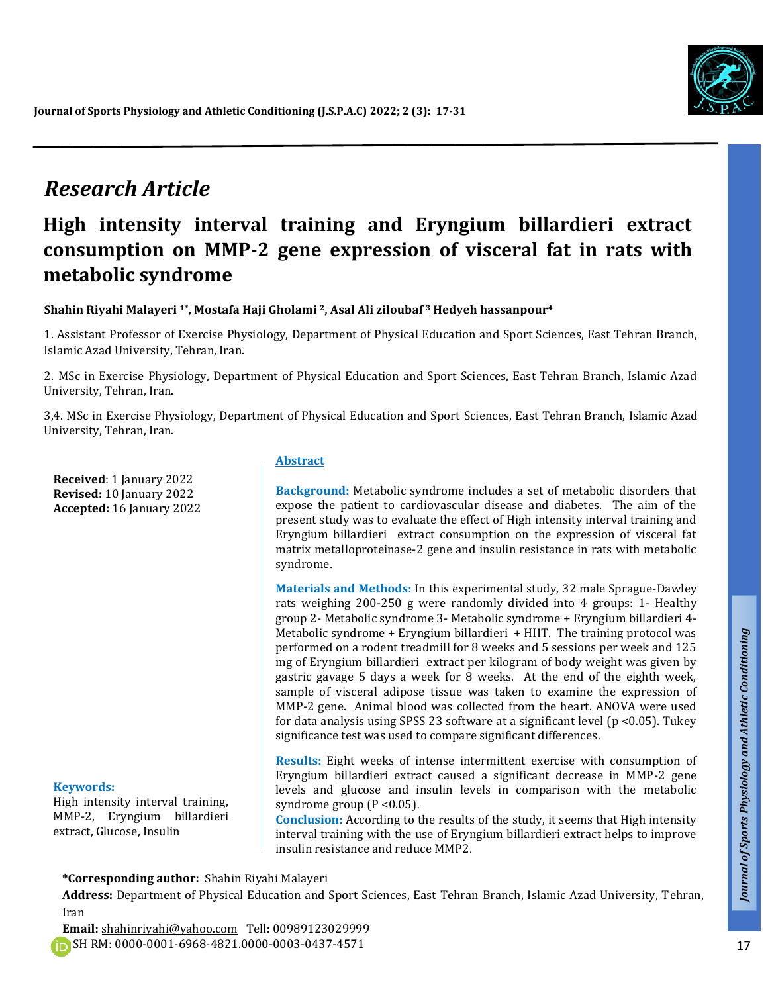

# *Research Article*

# **High intensity interval training and Eryngium billardieri extract consumption on MMP-2 gene expression of visceral fat in rats with metabolic syndrome**

**Shahin Riyahi Malayeri 1\* , Mostafa Haji Gholami 2, Asal Ali ziloubaf <sup>3</sup> Hedyeh hassanpour<sup>4</sup>**

1. Assistant Professor of Exercise Physiology, Department of Physical Education and Sport Sciences, East Tehran Branch, Islamic Azad University, Tehran, Iran.

2. MSc in Exercise Physiology, Department of Physical Education and Sport Sciences, East Tehran Branch, Islamic Azad University, Tehran, Iran.

3,4. MSc in Exercise Physiology, Department of Physical Education and Sport Sciences, East Tehran Branch, Islamic Azad University, Tehran, Iran.

**Received**: 1 January 2022 **Revised:** 10 January 2022 **Accepted:** 16 January 2022

#### **Keywords:**

High intensity interval training, MMP-2, Eryngium billardieri extract, Glucose, Insulin

#### **Abstract**

**Background:** Metabolic syndrome includes a set of metabolic disorders that expose the patient to cardiovascular disease and diabetes. The aim of the present study was to evaluate the effect of High intensity interval training and Eryngium billardieri extract consumption on the expression of visceral fat matrix metalloproteinase-2 gene and insulin resistance in rats with metabolic syndrome.

**Materials and Methods:** In this experimental study, 32 male Sprague-Dawley rats weighing 200-250 g were randomly divided into 4 groups: 1- Healthy group 2- Metabolic syndrome 3- Metabolic syndrome + Eryngium billardieri 4- Metabolic syndrome + Eryngium billardieri + HIIT. The training protocol was performed on a rodent treadmill for 8 weeks and 5 sessions per week and 125 mg of Eryngium billardieri extract per kilogram of body weight was given by gastric gavage 5 days a week for 8 weeks. At the end of the eighth week, sample of visceral adipose tissue was taken to examine the expression of MMP-2 gene. Animal blood was collected from the heart. ANOVA were used for data analysis using SPSS 23 software at a significant level ( $p < 0.05$ ). Tukey significance test was used to compare significant differences.

**Results:** Eight weeks of intense intermittent exercise with consumption of Eryngium billardieri extract caused a significant decrease in MMP-2 gene levels and glucose and insulin levels in comparison with the metabolic syndrome group  $(P < 0.05)$ .

**Conclusion:** According to the results of the study, it seems that High intensity interval training with the use of Eryngium billardieri extract helps to improve insulin resistance and reduce MMP2.

**\*Corresponding author:** Shahin Riyahi Malayeri

**Address:** Department of Physical Education and Sport Sciences, East Tehran Branch, Islamic Azad University, Tehran, Iran

**Email:** shahinriyahi@yahoo.com Tell**:** 00989123029999 SH RM: 0000-0001-6968-4821.0000-0003-0437-4571

*Talk*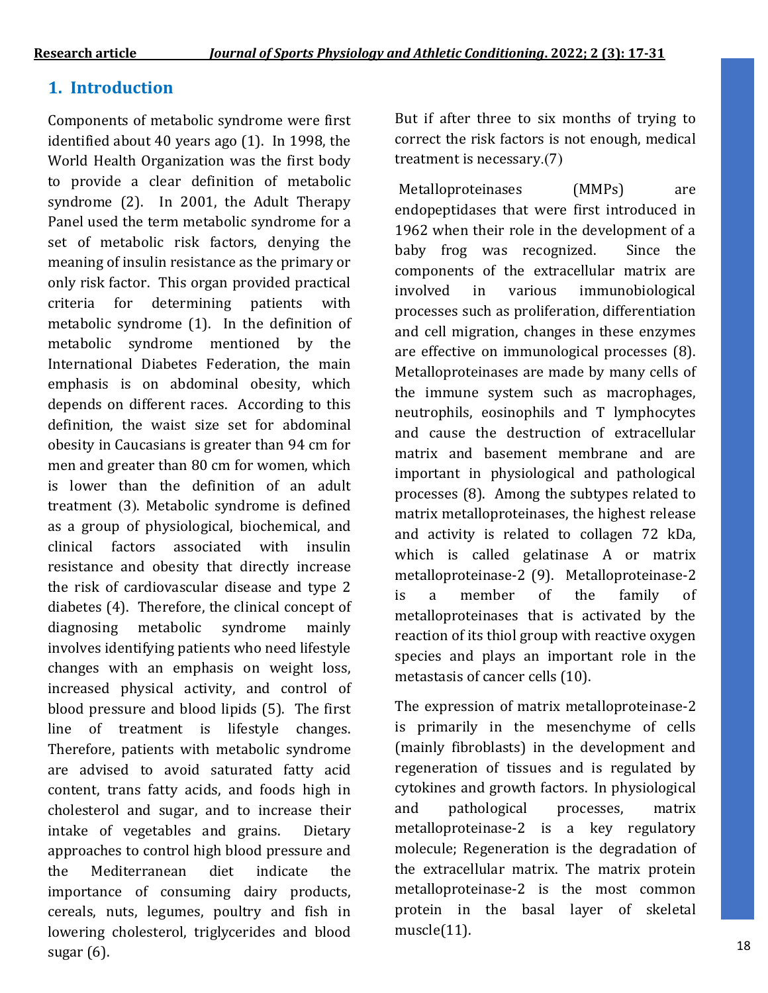## **1. Introduction**

Components of metabolic syndrome were first identified about 40 years ago (1). In 1998, the World Health Organization was the first body to provide a clear definition of metabolic syndrome (2). In 2001, the Adult Therapy Panel used the term metabolic syndrome for a set of metabolic risk factors, denying the meaning of insulin resistance as the primary or only risk factor. This organ provided practical criteria for determining patients with metabolic syndrome (1). In the definition of metabolic syndrome mentioned by the International Diabetes Federation, the main emphasis is on abdominal obesity, which depends on different races. According to this definition, the waist size set for abdominal obesity in Caucasians is greater than 94 cm for men and greater than 80 cm for women, which is lower than the definition of an adult treatment (3). Metabolic syndrome is defined as a group of physiological, biochemical, and clinical factors associated with insulin resistance and obesity that directly increase the risk of cardiovascular disease and type 2 diabetes (4). Therefore, the clinical concept of diagnosing metabolic syndrome mainly involves identifying patients who need lifestyle changes with an emphasis on weight loss, increased physical activity, and control of blood pressure and blood lipids (5). The first line of treatment is lifestyle changes. Therefore, patients with metabolic syndrome are advised to avoid saturated fatty acid content, trans fatty acids, and foods high in cholesterol and sugar, and to increase their intake of vegetables and grains. Dietary approaches to control high blood pressure and the Mediterranean diet indicate the importance of consuming dairy products, cereals, nuts, legumes, poultry and fish in lowering cholesterol, triglycerides and blood sugar (6).

But if after three to six months of trying to correct the risk factors is not enough, medical treatment is necessary. $(7)$ 

Metalloproteinases (MMPs) are endopeptidases that were first introduced in 1962 when their role in the development of a baby frog was recognized. Since the components of the extracellular matrix are involved in various immunobiological processes such as proliferation, differentiation and cell migration, changes in these enzymes are effective on immunological processes (8). Metalloproteinases are made by many cells of the immune system such as macrophages, neutrophils, eosinophils and T lymphocytes and cause the destruction of extracellular matrix and basement membrane and are important in physiological and pathological processes (8). Among the subtypes related to matrix metalloproteinases, the highest release and activity is related to collagen 72 kDa, which is called gelatinase A or matrix metalloproteinase-2 (9). Metalloproteinase-2 is a member of the family of metalloproteinases that is activated by the reaction of its thiol group with reactive oxygen species and plays an important role in the metastasis of cancer cells (10).

The expression of matrix metalloproteinase-2 is primarily in the mesenchyme of cells (mainly fibroblasts) in the development and regeneration of tissues and is regulated by cytokines and growth factors. In physiological and pathological processes, matrix metalloproteinase-2 is a key regulatory molecule; Regeneration is the degradation of the extracellular matrix. The matrix protein metalloproteinase-2 is the most common protein in the basal layer of skeletal muscle(11).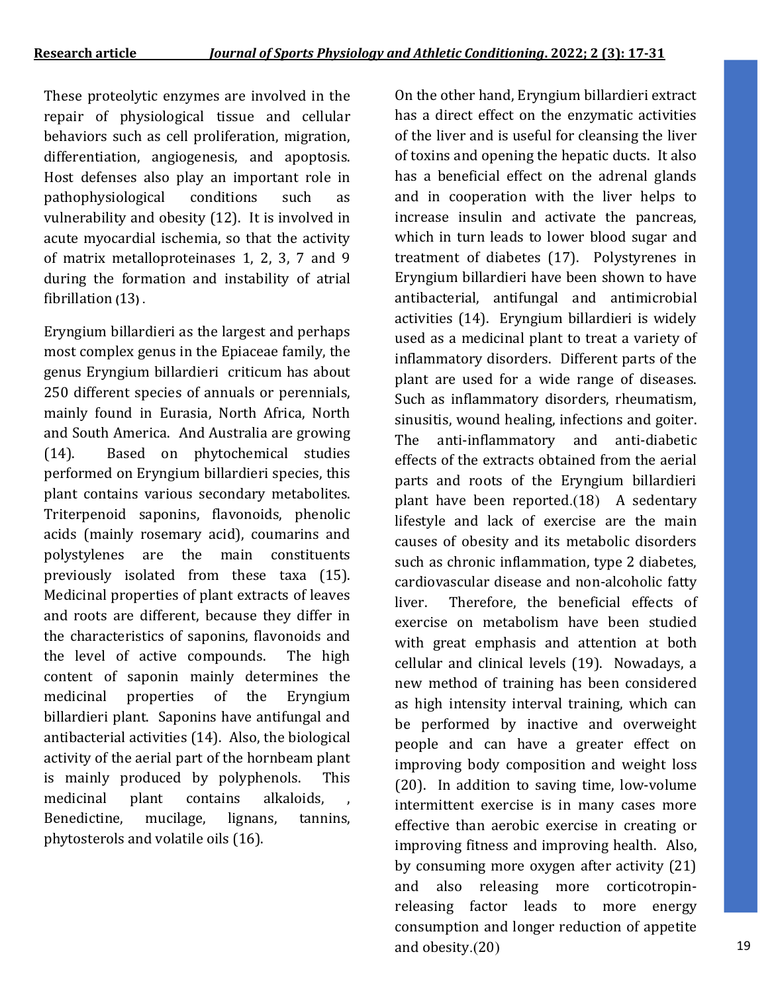These proteolytic enzymes are involved in the repair of physiological tissue and cellular behaviors such as cell proliferation, migration, differentiation, angiogenesis, and apoptosis. Host defenses also play an important role in pathophysiological conditions such as vulnerability and obesity (12). It is involved in acute myocardial ischemia, so that the activity of matrix metalloproteinases 1, 2, 3, 7 and 9 during the formation and instability of atrial fibrillation (13).

Eryngium billardieri as the largest and perhaps most complex genus in the Epiaceae family, the genus Eryngium billardieri criticum has about 250 different species of annuals or perennials, mainly found in Eurasia, North Africa, North and South America. And Australia are growing (14). Based on phytochemical studies performed on Eryngium billardieri species, this plant contains various secondary metabolites. Triterpenoid saponins, flavonoids, phenolic acids (mainly rosemary acid), coumarins and polystylenes are the main constituents previously isolated from these taxa (15). Medicinal properties of plant extracts of leaves and roots are different, because they differ in the characteristics of saponins, flavonoids and the level of active compounds. The high content of saponin mainly determines the medicinal properties of the Eryngium billardieri plant. Saponins have antifungal and antibacterial activities (14). Also, the biological activity of the aerial part of the hornbeam plant is mainly produced by polyphenols. This medicinal plant contains alkaloids, Benedictine, mucilage, lignans, tannins, phytosterols and volatile oils (16).

On the other hand, Eryngium billardieri extract has a direct effect on the enzymatic activities of the liver and is useful for cleansing the liver of toxins and opening the hepatic ducts. It also has a beneficial effect on the adrenal glands and in cooperation with the liver helps to increase insulin and activate the pancreas, which in turn leads to lower blood sugar and treatment of diabetes (17). Polystyrenes in Eryngium billardieri have been shown to have antibacterial, antifungal and antimicrobial activities (14). Eryngium billardieri is widely used as a medicinal plant to treat a variety of inflammatory disorders. Different parts of the plant are used for a wide range of diseases. Such as inflammatory disorders, rheumatism, sinusitis, wound healing, infections and goiter. The anti-inflammatory and anti-diabetic effects of the extracts obtained from the aerial parts and roots of the Eryngium billardieri plant have been reported. $(18)$  A sedentary lifestyle and lack of exercise are the main causes of obesity and its metabolic disorders such as chronic inflammation, type 2 diabetes, cardiovascular disease and non-alcoholic fatty liver. Therefore, the beneficial effects of exercise on metabolism have been studied with great emphasis and attention at both cellular and clinical levels (19). Nowadays, a new method of training has been considered as high intensity interval training, which can be performed by inactive and overweight people and can have a greater effect on improving body composition and weight loss (20). In addition to saving time, low-volume intermittent exercise is in many cases more effective than aerobic exercise in creating or improving fitness and improving health. Also, by consuming more oxygen after activity (21) and also releasing more corticotropinreleasing factor leads to more energy consumption and longer reduction of appetite and obesity. $(20)$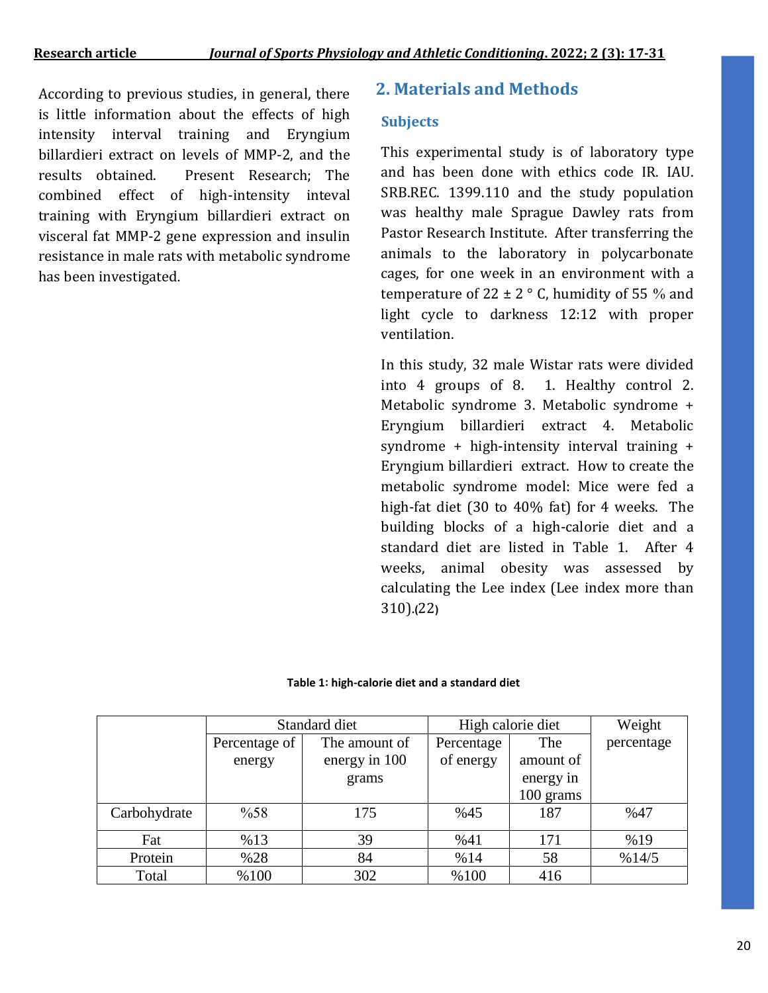According to previous studies, in general, there **2. Materials and Methods** is little information about the effects of high intensity interval training and Eryngium billardieri extract on levels of MMP-2, and the results obtained. Present Research; The combined effect of high-intensity inteval training with Eryngium billardieri extract on visceral fat MMP-2 gene expression and insulin resistance in male rats with metabolic syndrome has been investigated**.**

### **Subjects**

This experimental study is of laboratory type and has been done with ethics code IR. IAU. SRB.REC. 1399.110 and the study population was healthy male Sprague Dawley rats from Pastor Research Institute. After transferring the animals to the laboratory in polycarbonate cages, for one week in an environment with a temperature of 22  $\pm$  2  $\degree$  C, humidity of 55 % and light cycle to darkness 12:12 with proper ventilation.

In this study, 32 male Wistar rats were divided into 4 groups of 8. 1. Healthy control 2. Metabolic syndrome 3. Metabolic syndrome + Eryngium billardieri extract 4. Metabolic syndrome + high-intensity interval training + Eryngium billardieri extract. How to create the metabolic syndrome model: Mice were fed a high-fat diet (30 to 40% fat) for 4 weeks. The building blocks of a high-calorie diet and a standard diet are listed in Table 1. After 4 weeks, animal obesity was assessed by calculating the Lee index (Lee index more than 310)**.)**22**(**

#### **Table 1: high-calorie diet and a standard diet**

|              | Standard diet |               | High calorie diet |           | Weight     |
|--------------|---------------|---------------|-------------------|-----------|------------|
|              | Percentage of | The amount of | Percentage        | The       | percentage |
|              | energy        | energy in 100 | of energy         | amount of |            |
|              |               | grams         |                   | energy in |            |
|              |               |               |                   | 100 grams |            |
| Carbohydrate | %58           | 175           | %45               | 187       | %47        |
| Fat          | %13           | 39            | %41               | 171       | %19        |
| Protein      | %28           | 84            | %14               | 58        | %14/5      |
| Total        | %100          | 302           | %100              | 416       |            |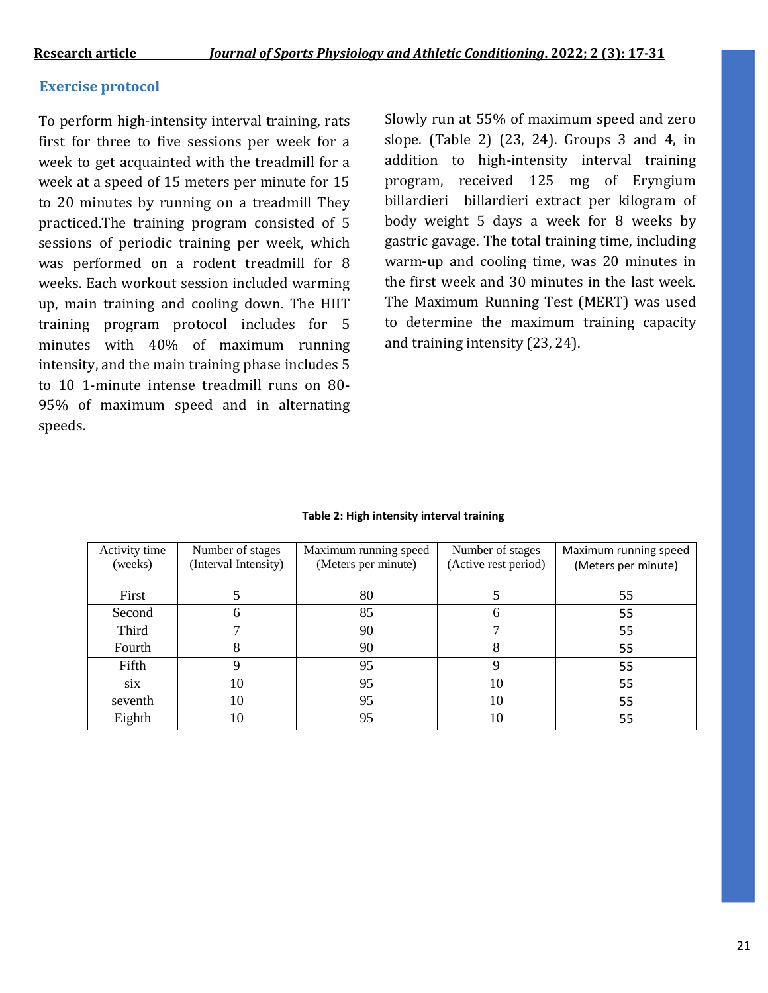### **Exercise protocol**

To perform high-intensity interval training, rats first for three to five sessions per week for a week to get acquainted with the treadmill for a week at a speed of 15 meters per minute for 15 to 20 minutes by running on a treadmill They practiced.The training program consisted of 5 sessions of periodic training per week, which was performed on a rodent treadmill for 8 weeks. Each workout session included warming up, main training and cooling down. The HIIT training program protocol includes for 5 minutes with 40% of maximum running intensity, and the main training phase includes 5 to 10 1-minute intense treadmill runs on 80- 95% of maximum speed and in alternating speeds.

Slowly run at 55% of maximum speed and zero slope. (Table 2) (23, 24). Groups 3 and 4, in addition to high-intensity interval training program, received 125 mg of Eryngium billardieri billardieri extract per kilogram of body weight 5 days a week for 8 weeks by gastric gavage. The total training time, including warm-up and cooling time, was 20 minutes in the first week and 30 minutes in the last week. The Maximum Running Test (MERT) was used to determine the maximum training capacity and training intensity (23, 24).

| Activity time<br>(weeks) | Number of stages<br>(Interval Intensity) | Maximum running speed<br>(Meters per minute) | Number of stages<br>(Active rest period) | Maximum running speed<br>(Meters per minute) |
|--------------------------|------------------------------------------|----------------------------------------------|------------------------------------------|----------------------------------------------|
| First                    |                                          | 80                                           |                                          | 55                                           |
| Second                   |                                          | 85                                           | h                                        | 55                                           |
| Third                    |                                          | 90                                           |                                          | 55                                           |
| Fourth                   |                                          | 90                                           |                                          | 55                                           |
| Fifth                    |                                          | 95                                           |                                          | 55                                           |
| six                      | 10                                       | 95                                           | 10                                       | 55                                           |
| seventh                  | 10                                       | 95                                           | 10                                       | 55                                           |
| Eighth                   | 10                                       | 95                                           | 10                                       | 55                                           |

#### **Table 2: High intensity interval training**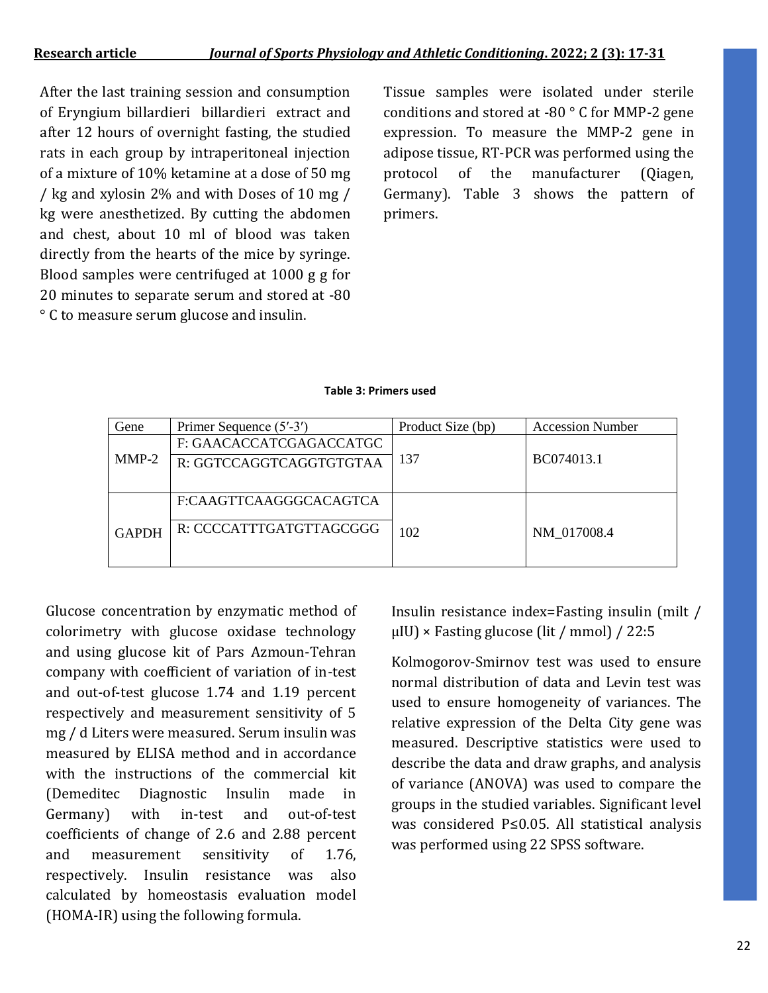After the last training session and consumption of Eryngium billardieri billardieri extract and after 12 hours of overnight fasting, the studied rats in each group by intraperitoneal injection of a mixture of 10% ketamine at a dose of 50 mg / kg and xylosin 2% and with Doses of 10 mg / kg were anesthetized. By cutting the abdomen and chest, about 10 ml of blood was taken directly from the hearts of the mice by syringe. Blood samples were centrifuged at 1000 g g for 20 minutes to separate serum and stored at -80 ° C to measure serum glucose and insulin.

Tissue samples were isolated under sterile conditions and stored at -80 ° C for MMP-2 gene expression. To measure the MMP-2 gene in adipose tissue, RT-PCR was performed using the protocol of the manufacturer (Qiagen, Germany). Table 3 shows the pattern of primers.

#### **Table 3: Primers used**

| Gene         | Primer Sequence (5'-3') | Product Size (bp) | <b>Accession Number</b> |
|--------------|-------------------------|-------------------|-------------------------|
|              | F: GAACACCATCGAGACCATGC |                   |                         |
| $MMP-2$      | R: GGTCCAGGTCAGGTGTGTAA | 137               | BC074013.1              |
|              |                         |                   |                         |
|              | F:CAAGTTCAAGGGCACAGTCA  |                   |                         |
|              | R: CCCCATTTGATGTTAGCGGG |                   |                         |
| <b>GAPDH</b> |                         | 102               | NM 017008.4             |
|              |                         |                   |                         |

Glucose concentration by enzymatic method of colorimetry with glucose oxidase technology and using glucose kit of Pars Azmoun-Tehran company with coefficient of variation of in-test and out-of-test glucose 1.74 and 1.19 percent respectively and measurement sensitivity of 5 mg / d Liters were measured. Serum insulin was measured by ELISA method and in accordance with the instructions of the commercial kit (Demeditec Diagnostic Insulin made in Germany) with in-test and out-of-test coefficients of change of 2.6 and 2.88 percent and measurement sensitivity of 1.76, respectively. Insulin resistance was also calculated by homeostasis evaluation model (HOMA-IR) using the following formula.

Insulin resistance index=Fasting insulin (milt /  $\mu$ IU) × Fasting glucose (lit / mmol) / 22:5

Kolmogorov-Smirnov test was used to ensure normal distribution of data and Levin test was used to ensure homogeneity of variances. The relative expression of the Delta City gene was measured. Descriptive statistics were used to describe the data and draw graphs, and analysis of variance (ANOVA) was used to compare the groups in the studied variables. Significant level was considered P≤0.05. All statistical analysis was performed using 22 SPSS software.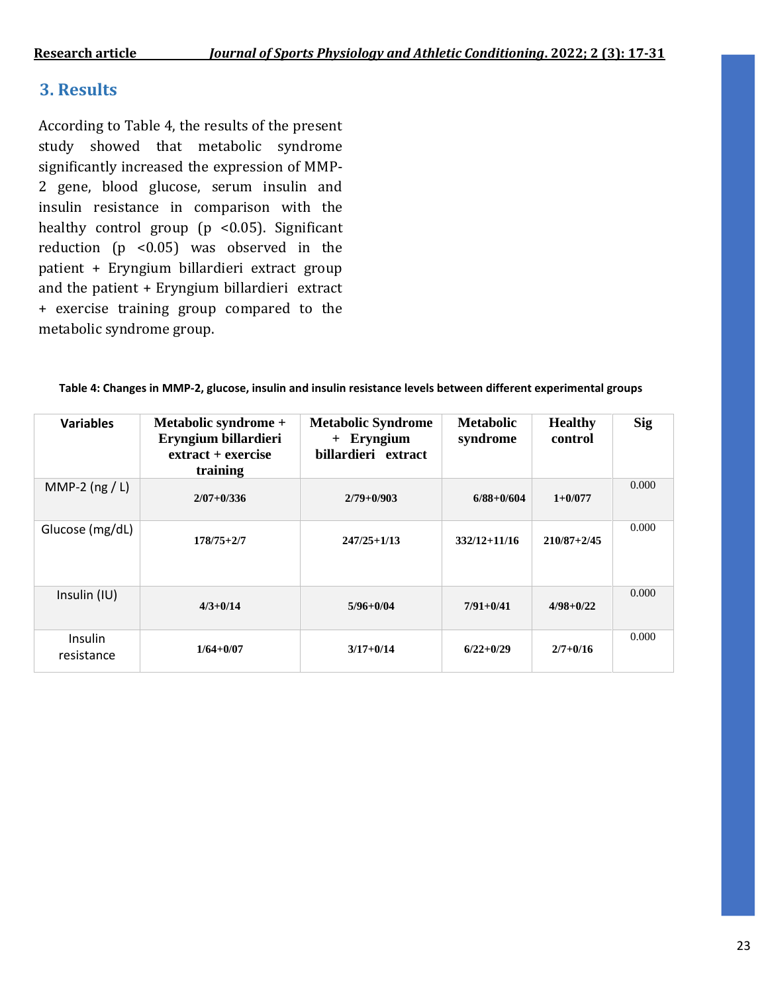## **3. Results**

According to Table 4, the results of the present study showed that metabolic syndrome significantly increased the expression of MMP-2 gene, blood glucose, serum insulin and insulin resistance in comparison with the healthy control group (p <0.05). Significant reduction (p <0.05) was observed in the patient + Eryngium billardieri extract group and the patient + Eryngium billardieri extract + exercise training group compared to the metabolic syndrome group.

| <b>Variables</b>      | Metabolic syndrome +<br>Eryngium billardieri<br>$extract + exercise$<br>training | <b>Metabolic Syndrome</b><br>+ Eryngium<br>billardieri extract | Metabolic<br>syndrome | <b>Healthy</b><br>control | <b>Sig</b> |
|-----------------------|----------------------------------------------------------------------------------|----------------------------------------------------------------|-----------------------|---------------------------|------------|
| MMP-2 $(ng / L)$      | $2/07 + 0/336$                                                                   | $2/79+0/903$                                                   | $6/88 + 0/604$        | $1+0/077$                 | 0.000      |
| Glucose (mg/dL)       | $178/75 + 2/7$                                                                   | $247/25 + 1/13$                                                | $332/12 + 11/16$      | $210/87 + 2/45$           | 0.000      |
| Insulin (IU)          | $4/3 + 0/14$                                                                     | $5/96 + 0/04$                                                  | $7/91 + 0/41$         | $4/98 + 0/22$             | 0.000      |
| Insulin<br>resistance | $1/64 + 0/07$                                                                    | $3/17 + 0/14$                                                  | $6/22 + 0/29$         | $2/7 + 0/16$              | 0.000      |

**Table 4: Changes in MMP-2, glucose, insulin and insulin resistance levels between different experimental groups**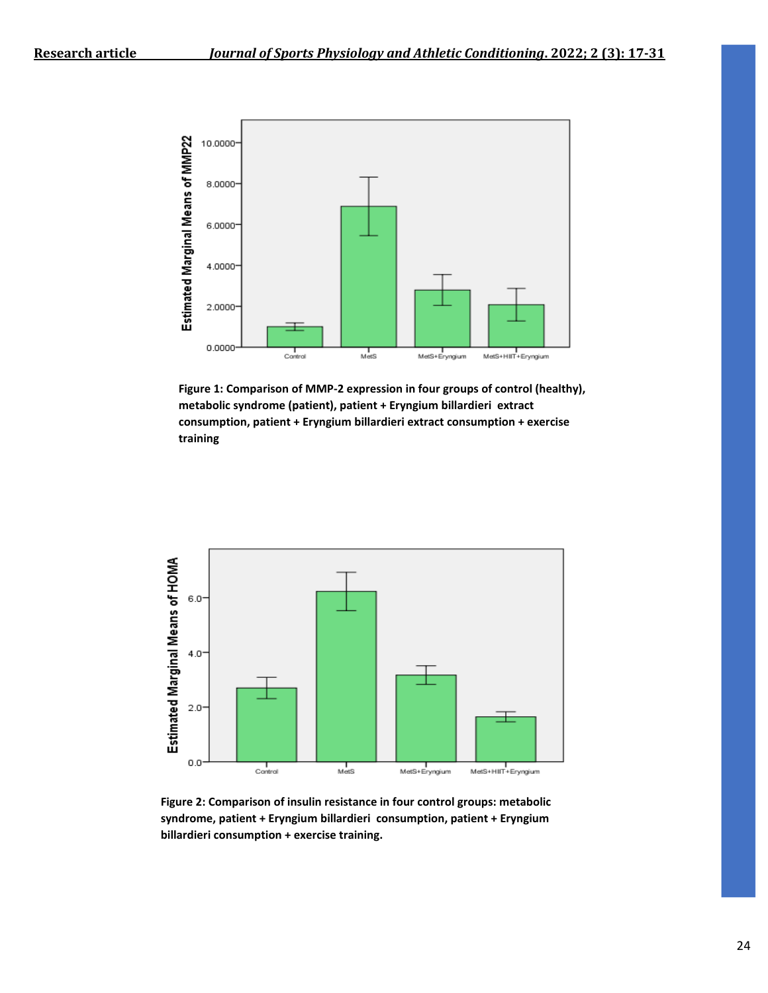

**Figure 1: Comparison of MMP-2 expression in four groups of control (healthy), metabolic syndrome (patient), patient + Eryngium billardieri extract consumption, patient + Eryngium billardieri extract consumption + exercise training**



**Figure 2: Comparison of insulin resistance in four control groups: metabolic syndrome, patient + Eryngium billardieri consumption, patient + Eryngium billardieri consumption + exercise training.**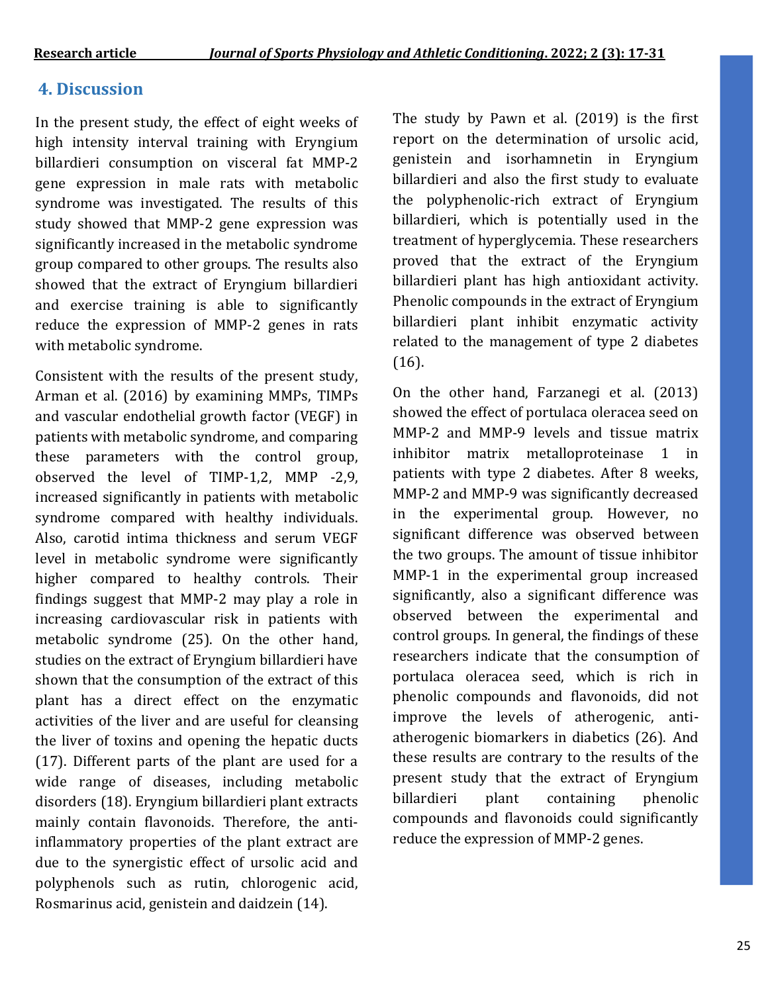## **4. Discussion**

In the present study, the effect of eight weeks of high intensity interval training with Eryngium billardieri consumption on visceral fat MMP-2 gene expression in male rats with metabolic syndrome was investigated. The results of this study showed that MMP-2 gene expression was significantly increased in the metabolic syndrome group compared to other groups. The results also showed that the extract of Eryngium billardieri and exercise training is able to significantly reduce the expression of MMP-2 genes in rats with metabolic syndrome.

Consistent with the results of the present study, Arman et al. (2016) by examining MMPs, TIMPs and vascular endothelial growth factor (VEGF) in patients with metabolic syndrome, and comparing these parameters with the control group, observed the level of TIMP-1,2, MMP -2,9, increased significantly in patients with metabolic syndrome compared with healthy individuals. Also, carotid intima thickness and serum VEGF level in metabolic syndrome were significantly higher compared to healthy controls. Their findings suggest that MMP-2 may play a role in increasing cardiovascular risk in patients with metabolic syndrome (25). On the other hand, studies on the extract of Eryngium billardieri have shown that the consumption of the extract of this plant has a direct effect on the enzymatic activities of the liver and are useful for cleansing the liver of toxins and opening the hepatic ducts (17). Different parts of the plant are used for a wide range of diseases, including metabolic disorders (18). Eryngium billardieri plant extracts mainly contain flavonoids. Therefore, the antiinflammatory properties of the plant extract are due to the synergistic effect of ursolic acid and polyphenols such as rutin, chlorogenic acid, Rosmarinus acid, genistein and daidzein (14).

The study by Pawn et al. (2019) is the first report on the determination of ursolic acid, genistein and isorhamnetin in Eryngium billardieri and also the first study to evaluate the polyphenolic-rich extract of Eryngium billardieri, which is potentially used in the treatment of hyperglycemia. These researchers proved that the extract of the Eryngium billardieri plant has high antioxidant activity. Phenolic compounds in the extract of Eryngium billardieri plant inhibit enzymatic activity related to the management of type 2 diabetes (16).

On the other hand, Farzanegi et al. (2013) showed the effect of portulaca oleracea seed on MMP-2 and MMP-9 levels and tissue matrix inhibitor matrix metalloproteinase 1 in patients with type 2 diabetes. After 8 weeks, MMP-2 and MMP-9 was significantly decreased in the experimental group. However, no significant difference was observed between the two groups. The amount of tissue inhibitor MMP-1 in the experimental group increased significantly, also a significant difference was observed between the experimental and control groups. In general, the findings of these researchers indicate that the consumption of portulaca oleracea seed, which is rich in phenolic compounds and flavonoids, did not improve the levels of atherogenic, antiatherogenic biomarkers in diabetics (26). And these results are contrary to the results of the present study that the extract of Eryngium billardieri plant containing phenolic compounds and flavonoids could significantly reduce the expression of MMP-2 genes.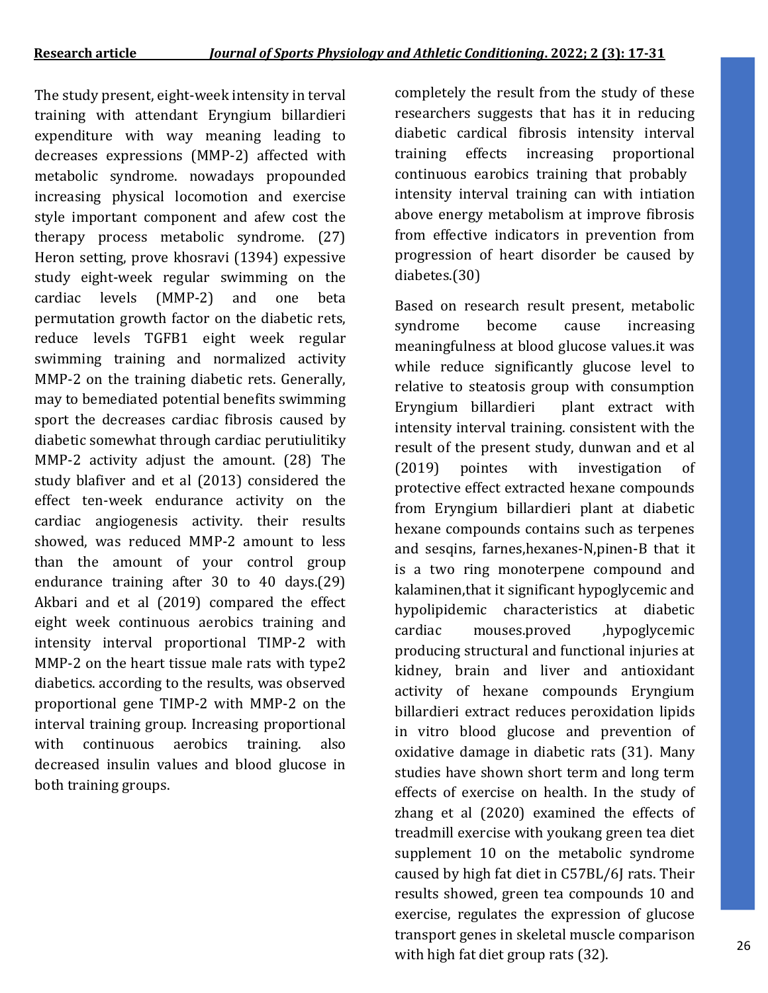The study present, eight-week intensity in terval training with attendant Eryngium billardieri expenditure with way meaning leading to decreases expressions (MMP-2) affected with metabolic syndrome. nowadays propounded increasing physical locomotion and exercise style important component and afew cost the therapy process metabolic syndrome. (27) Heron setting, prove khosravi (1394) expessive study eight-week regular swimming on the cardiac levels (MMP-2) and one beta permutation growth factor on the diabetic rets, reduce levels TGFB1 eight week regular swimming training and normalized activity MMP-2 on the training diabetic rets. Generally, may to bemediated potential benefits swimming sport the decreases cardiac fibrosis caused by diabetic somewhat through cardiac perutiulitiky MMP-2 activity adjust the amount. (28) The study blafiver and et al (2013) considered the effect ten-week endurance activity on the cardiac angiogenesis activity. their results showed, was reduced MMP-2 amount to less than the amount of your control group endurance training after 30 to 40 days.(29) Akbari and et al (2019) compared the effect eight week continuous aerobics training and intensity interval proportional TIMP-2 with MMP-2 on the heart tissue male rats with type2 diabetics. according to the results, was observed proportional gene TIMP-2 with MMP-2 on the interval training group. Increasing proportional with continuous aerobics training. also decreased insulin values and blood glucose in both training groups.

completely the result from the study of these researchers suggests that has it in reducing diabetic cardical fibrosis intensity interval training effects increasing proportional continuous earobics training that probably intensity interval training can with intiation above energy metabolism at improve fibrosis from effective indicators in prevention from progression of heart disorder be caused by diabetes.(30)

Based on research result present, metabolic syndrome become cause increasing meaningfulness at blood glucose values.it was while reduce significantly glucose level to relative to steatosis group with consumption Eryngium billardieri plant extract with intensity interval training. consistent with the result of the present study, dunwan and et al (2019) pointes with investigation of protective effect extracted hexane compounds from Eryngium billardieri plant at diabetic hexane compounds contains such as terpenes and sesqins, farnes,hexanes-N,pinen-B that it is a two ring monoterpene compound and kalaminen,that it significant hypoglycemic and hypolipidemic characteristics at diabetic cardiac mouses.proved ,hypoglycemic producing structural and functional injuries at kidney, brain and liver and antioxidant activity of hexane compounds Eryngium billardieri extract reduces peroxidation lipids in vitro blood glucose and prevention of oxidative damage in diabetic rats (31). Many studies have shown short term and long term effects of exercise on health. In the study of zhang et al (2020) examined the effects of treadmill exercise with youkang green tea diet supplement 10 on the metabolic syndrome caused by high fat diet in C57BL/6J rats. Their results showed, green tea compounds 10 and exercise, regulates the expression of glucose transport genes in skeletal muscle comparison with high fat diet group rats (32).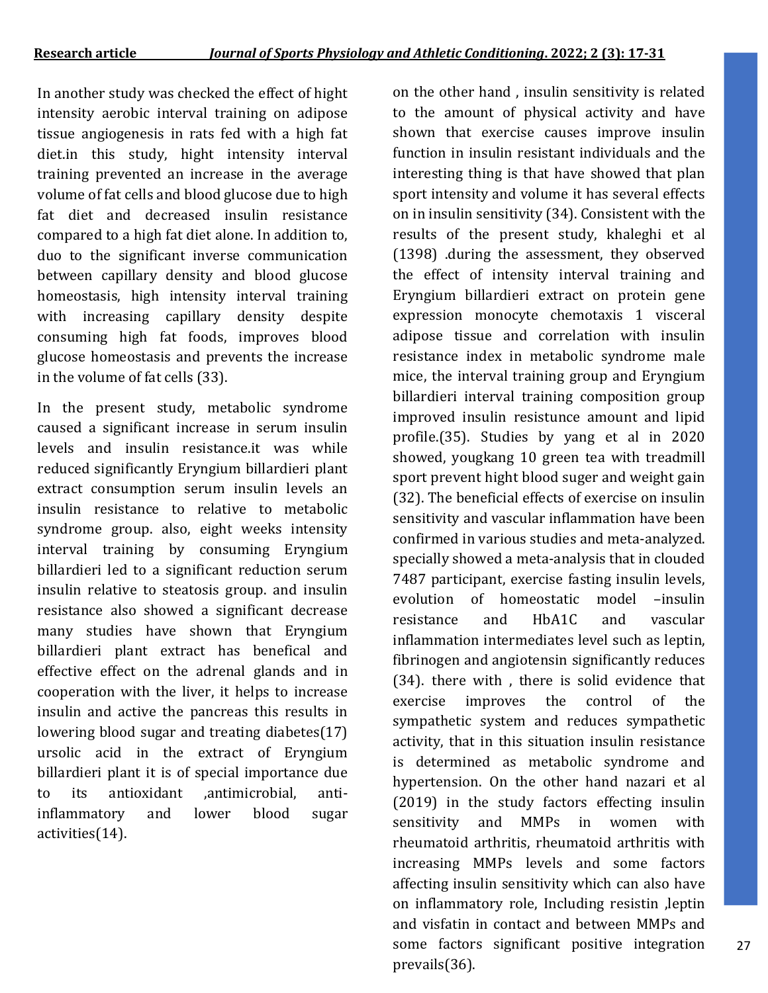In another study was checked the effect of hight intensity aerobic interval training on adipose tissue angiogenesis in rats fed with a high fat diet.in this study, hight intensity interval training prevented an increase in the average volume of fat cells and blood glucose due to high fat diet and decreased insulin resistance compared to a high fat diet alone. In addition to, duo to the significant inverse communication between capillary density and blood glucose homeostasis, high intensity interval training with increasing capillary density despite consuming high fat foods, improves blood glucose homeostasis and prevents the increase in the volume of fat cells (33).

In the present study, metabolic syndrome caused a significant increase in serum insulin levels and insulin resistance.it was while reduced significantly Eryngium billardieri plant extract consumption serum insulin levels an insulin resistance to relative to metabolic syndrome group. also, eight weeks intensity interval training by consuming Eryngium billardieri led to a significant reduction serum insulin relative to steatosis group. and insulin resistance also showed a significant decrease many studies have shown that Eryngium billardieri plant extract has benefical and effective effect on the adrenal glands and in cooperation with the liver, it helps to increase insulin and active the pancreas this results in lowering blood sugar and treating diabetes(17) ursolic acid in the extract of Eryngium billardieri plant it is of special importance due to its antioxidant ,antimicrobial, antiinflammatory and lower blood sugar activities(14).

on the other hand , insulin sensitivity is related to the amount of physical activity and have shown that exercise causes improve insulin function in insulin resistant individuals and the interesting thing is that have showed that plan sport intensity and volume it has several effects on in insulin sensitivity (34). Consistent with the results of the present study, khaleghi et al (1398) .during the assessment, they observed the effect of intensity interval training and Eryngium billardieri extract on protein gene expression monocyte chemotaxis 1 visceral adipose tissue and correlation with insulin resistance index in metabolic syndrome male mice, the interval training group and Eryngium billardieri interval training composition group improved insulin resistunce amount and lipid profile.(35). Studies by yang et al in 2020 showed, yougkang 10 green tea with treadmill sport prevent hight blood suger and weight gain (32). The beneficial effects of exercise on insulin sensitivity and vascular inflammation have been confirmed in various studies and meta-analyzed. specially showed a meta-analysis that in clouded 7487 participant, exercise fasting insulin levels, evolution of homeostatic model –insulin resistance and HbA1C and vascular inflammation intermediates level such as leptin, fibrinogen and angiotensin significantly reduces (34). there with , there is solid evidence that exercise improves the control of the sympathetic system and reduces sympathetic activity, that in this situation insulin resistance is determined as metabolic syndrome and hypertension. On the other hand nazari et al (2019) in the study factors effecting insulin sensitivity and MMPs in women with rheumatoid arthritis, rheumatoid arthritis with increasing MMPs levels and some factors affecting insulin sensitivity which can also have on inflammatory role, Including resistin ,leptin and visfatin in contact and between MMPs and some factors significant positive integration prevails(36).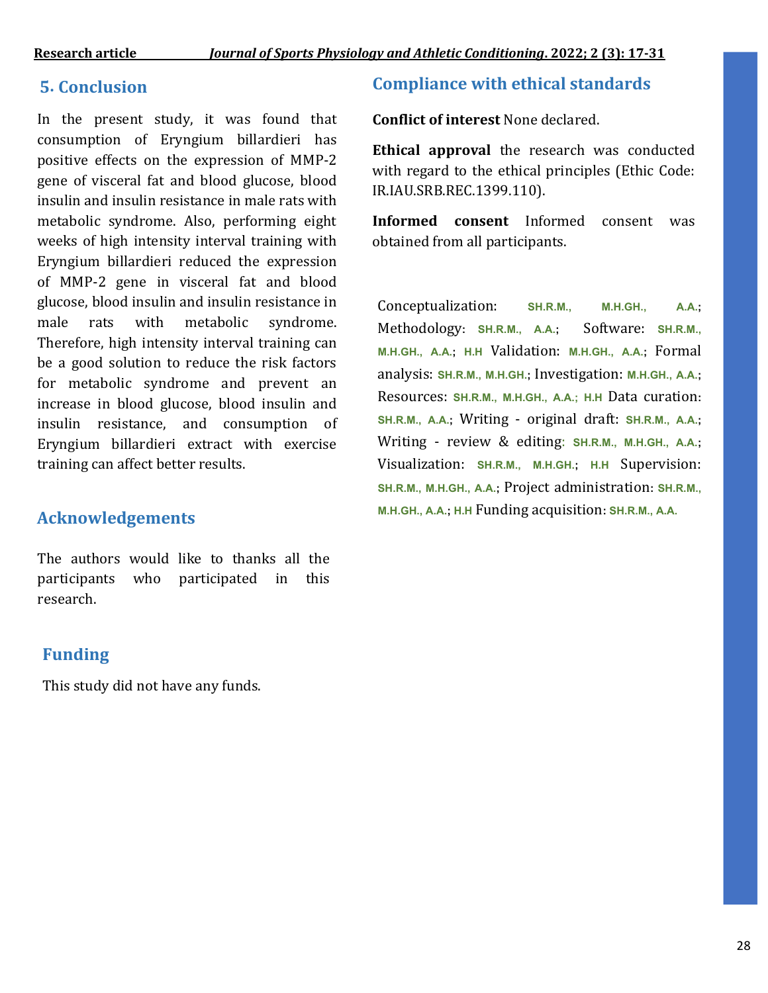## **5. Conclusion**

In the present study, it was found that consumption of Eryngium billardieri has positive effects on the expression of MMP-2 gene of visceral fat and blood glucose, blood insulin and insulin resistance in male rats with metabolic syndrome. Also, performing eight weeks of high intensity interval training with Eryngium billardieri reduced the expression of MMP-2 gene in visceral fat and blood glucose, blood insulin and insulin resistance in male rats with metabolic syndrome. Therefore, high intensity interval training can be a good solution to reduce the risk factors for metabolic syndrome and prevent an increase in blood glucose, blood insulin and insulin resistance, and consumption of Eryngium billardieri extract with exercise training can affect better results.

## **Acknowledgements**

The authors would like to thanks all the participants who participated in this research.

## **Funding**

This study did not have any funds.

## **Compliance with ethical standards**

**Conflict of interest** None declared.

**Ethical approval** the research was conducted with regard to the ethical principles (Ethic Code: IR.IAU.SRB.REC.1399.110).

**Informed consent** Informed consent was obtained from all participants.

Conceptualization: **SH.R.M., M.H.GH., A.A.;**  Methodology**: SH.R.M., A.A.;** Software: **SH.R.M., M.H.GH., A.A.; H.H** Validation: **M.H.GH., A.A.;** Formal analysis: **SH.R.M., M.H.GH.;** Investigation: **M.H.GH., A.A.;** Resources: **SH.R.M., M.H.GH., A.A.; H.H** Data curation**: SH.R.M., A.A.;** Writing - original draft: **SH.R.M., A.A.;** Writing - review & editing: **SH.R.M., M.H.GH., A.A.;** Visualization: **SH.R.M., M.H.GH.; H.H** Supervision: **SH.R.M., M.H.GH., A.A.;** Project administration**: SH.R.M., M.H.GH., A.A.; H.H** Funding acquisition**: SH.R.M., A.A.**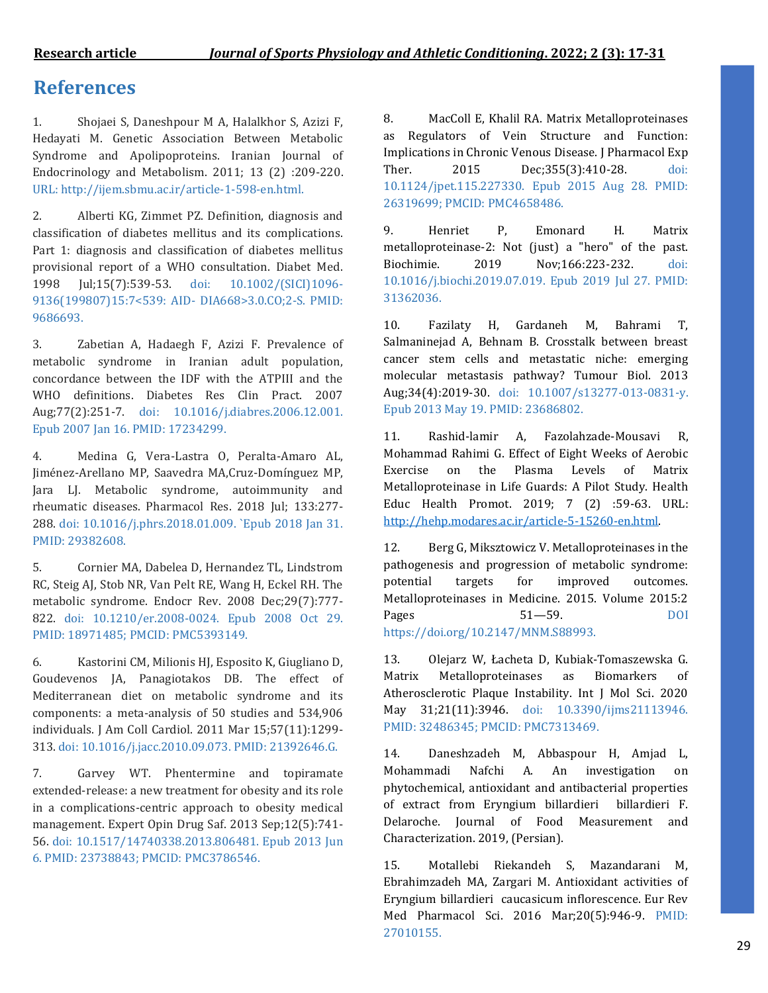## **References**

1. Shojaei S, Daneshpour M A, Halalkhor S, Azizi F, Hedayati M. Genetic Association Between Metabolic Syndrome and Apolipoproteins. Iranian Journal of Endocrinology and Metabolism. 2011; 13 (2) :209-220. URL: http://ijem.sbmu.ac.ir/article-1-598-en.html.

2. Alberti KG, Zimmet PZ. Definition, diagnosis and classification of diabetes mellitus and its complications. Part 1: diagnosis and classification of diabetes mellitus provisional report of a WHO consultation. Diabet Med. 1998 Jul;15(7):539-53. doi: 10.1002/(SICI)1096- 9136(199807)15:7<539: AID- DIA668>3.0.CO;2-S. PMID: 9686693.

3. Zabetian A, Hadaegh F, Azizi F. Prevalence of metabolic syndrome in Iranian adult population, concordance between the IDF with the ATPIII and the WHO definitions. Diabetes Res Clin Pract. 2007 Aug;77(2):251-7. doi: 10.1016/j.diabres.2006.12.001. Epub 2007 Jan 16. PMID: 17234299.

4. Medina G, Vera-Lastra O, Peralta-Amaro AL, Jiménez-Arellano MP, Saavedra MA,Cruz-Domínguez MP, Jara LJ. Metabolic syndrome, autoimmunity and rheumatic diseases. Pharmacol Res. 2018 Jul; 133:277- 288. doi: 10.1016/j.phrs.2018.01.009. `Epub 2018 Jan 31. PMID: 29382608.

5. Cornier MA, Dabelea D, Hernandez TL, Lindstrom RC, Steig AJ, Stob NR, Van Pelt RE, Wang H, Eckel RH. The metabolic syndrome. Endocr Rev. 2008 Dec;29(7):777- 822. doi: 10.1210/er.2008-0024. Epub 2008 Oct 29. PMID: 18971485; PMCID: PMC5393149.

6. Kastorini CM, Milionis HJ, Esposito K, Giugliano D, Goudevenos JA, Panagiotakos DB. The effect of Mediterranean diet on metabolic syndrome and its components: a meta-analysis of 50 studies and 534,906 individuals. J Am Coll Cardiol. 2011 Mar 15;57(11):1299- 313. doi: 10.1016/j.jacc.2010.09.073. PMID: 21392646.G.

7. Garvey WT. Phentermine and topiramate extended-release: a new treatment for obesity and its role in a complications-centric approach to obesity medical management. Expert Opin Drug Saf. 2013 Sep;12(5):741- 56. doi: 10.1517/14740338.2013.806481. Epub 2013 Jun 6. PMID: 23738843; PMCID: PMC3786546.

8. MacColl E, Khalil RA. Matrix Metalloproteinases as Regulators of Vein Structure and Function: Implications in Chronic Venous Disease. J Pharmacol Exp Ther. 2015 Dec; 355(3): 410-28. doi: 10.1124/jpet.115.227330. Epub 2015 Aug 28. PMID: 26319699; PMCID: PMC4658486.

9. Henriet P, Emonard H. Matrix metalloproteinase-2: Not (just) a "hero" of the past. Biochimie. 2019 Nov;166:223-232. doi: 10.1016/j.biochi.2019.07.019. Epub 2019 Jul 27. PMID: 31362036.

10. Fazilaty H, Gardaneh M, Bahrami T, Salmaninejad A, Behnam B. Crosstalk between breast cancer stem cells and metastatic niche: emerging molecular metastasis pathway? Tumour Biol. 2013 Aug;34(4):2019-30. doi: 10.1007/s13277-013-0831-y. Epub 2013 May 19. PMID: 23686802.

11. Rashid-lamir A, Fazolahzade-Mousavi R, Mohammad Rahimi G. Effect of Eight Weeks of Aerobic Exercise on the Plasma Levels of Matrix Metalloproteinase in Life Guards: A Pilot Study. Health Educ Health Promot. 2019; 7 (2) :59-63. URL: [http://hehp.modares.ac.ir/article-5-15260-en.html.](http://hehp.modares.ac.ir/article-5-15260-en.html)

12. Berg G, Miksztowicz V. Metalloproteinases in the pathogenesis and progression of metabolic syndrome: potential targets for improved outcomes. Metalloproteinases in Medicine. 2015. Volume 2015:2 Pages 51—59. DOI https://doi.org/10.2147/MNM.S88993.

13. Olejarz W, Łacheta D, Kubiak-Tomaszewska G. Matrix Metalloproteinases as Biomarkers of Atherosclerotic Plaque Instability. Int J Mol Sci. 2020 May 31;21(11):3946. doi: 10.3390/ijms21113946. PMID: 32486345; PMCID: PMC7313469.

14. Daneshzadeh M, Abbaspour H, Amjad L, Mohammadi Nafchi A. An investigation on phytochemical, antioxidant and antibacterial properties of extract from Eryngium billardieri billardieri F. Delaroche. Journal of Food Measurement and Characterization. 2019, (Persian).

15. Motallebi Riekandeh S, Mazandarani M, Ebrahimzadeh MA, Zargari M. Antioxidant activities of Eryngium billardieri caucasicum inflorescence. Eur Rev Med Pharmacol Sci. 2016 Mar;20(5):946-9. PMID: 27010155.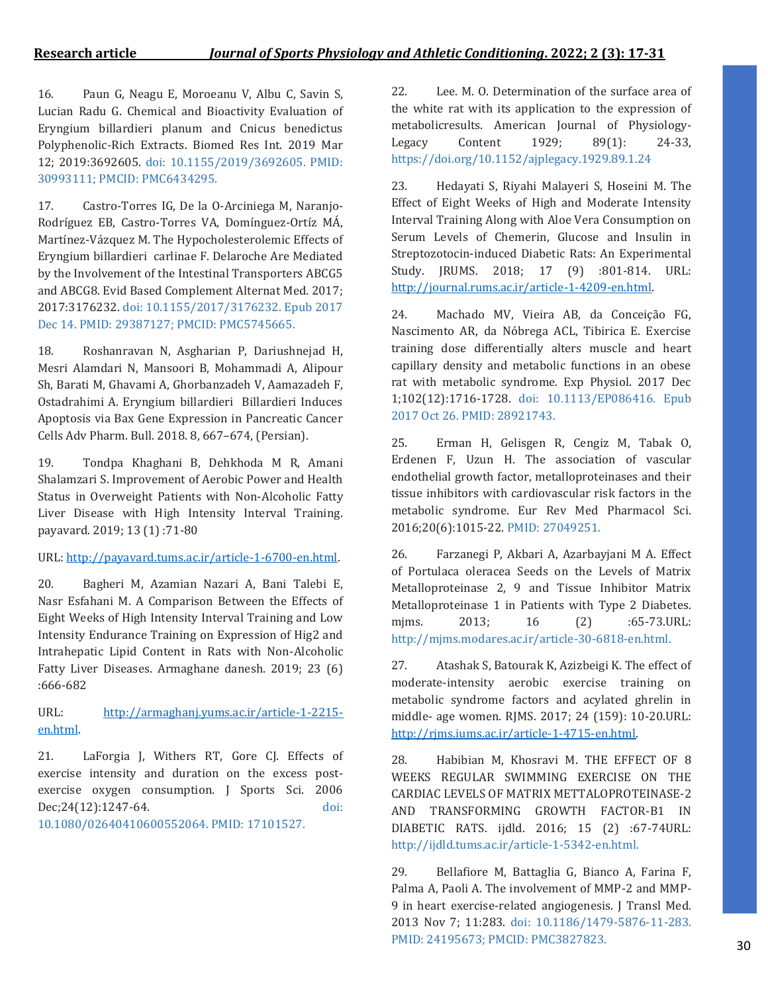16. Paun G, Neagu E, Moroeanu V, Albu C, Savin S, Lucian Radu G. Chemical and Bioactivity Evaluation of Eryngium billardieri planum and Cnicus benedictus Polyphenolic-Rich Extracts. Biomed Res Int. 2019 Mar 12; 2019:3692605. doi: 10.1155/2019/3692605. PMID: 30993111; PMCID: PMC6434295.

17. Castro-Torres IG, De la O-Arciniega M, Naranjo-Rodríguez EB, Castro-Torres VA, Domínguez-Ortíz MÁ, Martínez-Vázquez M. The Hypocholesterolemic Effects of Eryngium billardieri carlinae F. Delaroche Are Mediated by the Involvement of the Intestinal Transporters ABCG5 and ABCG8. Evid Based Complement Alternat Med. 2017; 2017:3176232. doi: 10.1155/2017/3176232. Epub 2017 Dec 14. PMID: 29387127; PMCID: PMC5745665.

18. Roshanravan N, Asgharian P, Dariushnejad H, Mesri Alamdari N, Mansoori B, Mohammadi A, Alipour Sh, Barati M, Ghavami A, Ghorbanzadeh V, Aamazadeh F, Ostadrahimi A. Eryngium billardieri Billardieri Induces Apoptosis via Bax Gene Expression in Pancreatic Cancer Cells Adv Pharm. Bull. 2018. 8, 667–674, (Persian).

19. Tondpa Khaghani B, Dehkhoda M R, Amani Shalamzari S. Improvement of Aerobic Power and Health Status in Overweight Patients with Non-Alcoholic Fatty Liver Disease with High Intensity Interval Training. payavard. 2019; 13 (1) :71-80

### URL: [http://payavard.tums.ac.ir/article-1-6700-en.html.](http://payavard.tums.ac.ir/article-1-6700-en.html)

20. Bagheri M, Azamian Nazari A, Bani Talebi E, Nasr Esfahani M. A Comparison Between the Effects of Eight Weeks of High Intensity Interval Training and Low Intensity Endurance Training on Expression of Hig2 and Intrahepatic Lipid Content in Rats with Non-Alcoholic Fatty Liver Diseases. Armaghane danesh. 2019; 23 (6) :666-682

URL: [http://armaghanj.yums.ac.ir/article-1-2215](http://armaghanj.yums.ac.ir/article-1-2215-en.html) [en.html.](http://armaghanj.yums.ac.ir/article-1-2215-en.html)

21. LaForgia J, Withers RT, Gore CJ. Effects of exercise intensity and duration on the excess postexercise oxygen consumption. J Sports Sci. 2006 Dec;24(12):1247-64. doi: 10.1080/02640410600552064. PMID: 17101527.

22. Lee. M. O. Determination of the surface area of the white rat with its application to the expression of metabolicresults. American Journal of Physiology-Legacy Content 1929; 89(1): 24-33, https://doi.org/10.1152/ajplegacy.1929.89.1.24

23. Hedayati S, Riyahi Malayeri S, Hoseini M. The Effect of Eight Weeks of High and Moderate Intensity Interval Training Along with Aloe Vera Consumption on Serum Levels of Chemerin, Glucose and Insulin in Streptozotocin-induced Diabetic Rats: An Experimental Study. JRUMS. 2018; 17 (9) :801-814. URL: [http://journal.rums.ac.ir/article-1-4209-en.html.](http://journal.rums.ac.ir/article-1-4209-en.html)

24. Machado MV, Vieira AB, da Conceição FG, Nascimento AR, da Nóbrega ACL, Tibirica E. Exercise training dose differentially alters muscle and heart capillary density and metabolic functions in an obese rat with metabolic syndrome. Exp Physiol. 2017 Dec 1;102(12):1716-1728. doi: 10.1113/EP086416. Epub 2017 Oct 26. PMID: 28921743.

25. Erman H, Gelisgen R, Cengiz M, Tabak O, Erdenen F, Uzun H. The association of vascular endothelial growth factor, metalloproteinases and their tissue inhibitors with cardiovascular risk factors in the metabolic syndrome. Eur Rev Med Pharmacol Sci. 2016;20(6):1015-22. PMID: 27049251.

26. Farzanegi P, Akbari A, Azarbayjani M A. Effect of Portulaca oleracea Seeds on the Levels of Matrix Metalloproteinase 2, 9 and Tissue Inhibitor Matrix Metalloproteinase 1 in Patients with Type 2 Diabetes. mjms. 2013; 16 (2) :65-73.URL: http://mjms.modares.ac.ir/article-30-6818-en.html.

27. Atashak S, Batourak K, Azizbeigi K. The effect of moderate-intensity aerobic exercise training on metabolic syndrome factors and acylated ghrelin in middle- age women. RJMS. 2017; 24 (159): 10-20.URL: [http://rjms.iums.ac.ir/article-1-4715-en.html.](http://rjms.iums.ac.ir/article-1-4715-en.html)

28. Habibian M, Khosravi M. THE EFFECT OF 8 WEEKS REGULAR SWIMMING EXERCISE ON THE CARDIAC LEVELS OF MATRIX METTALOPROTEINASE-2 AND TRANSFORMING GROWTH FACTOR-Β1 IN DIABETIC RATS. ijdld. 2016; 15 (2) :67-74URL: http://ijdld.tums.ac.ir/article-1-5342-en.html.

29. Bellafiore M, Battaglia G, Bianco A, Farina F, Palma A, Paoli A. The involvement of MMP-2 and MMP-9 in heart exercise-related angiogenesis. J Transl Med. 2013 Nov 7; 11:283. doi: 10.1186/1479-5876-11-283. PMID: 24195673; PMCID: PMC3827823.